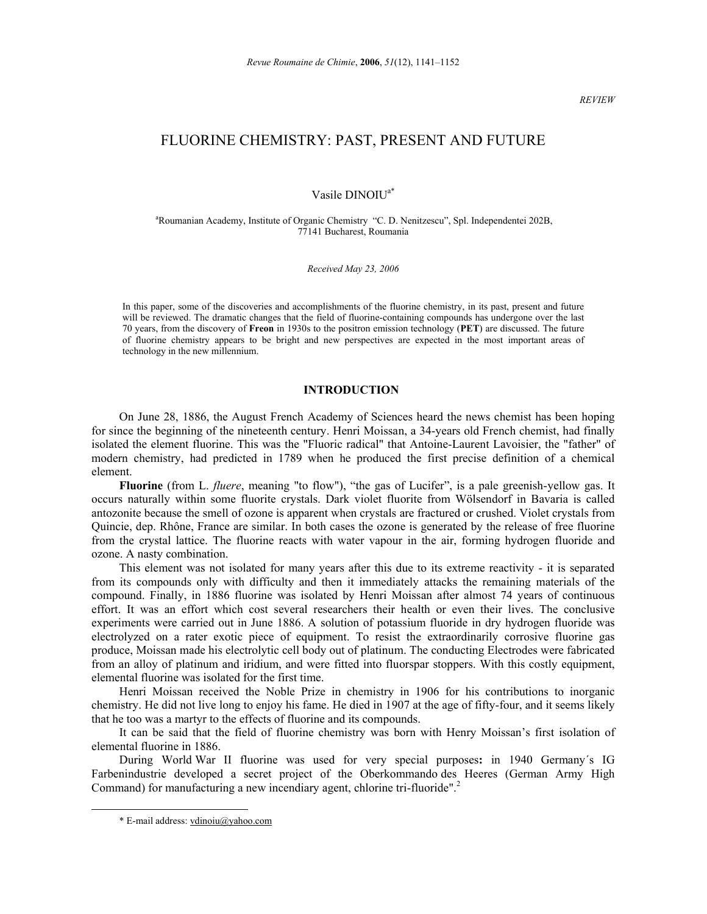#### *REVIEW*

# FLUORINE CHEMISTRY: PAST, PRESENT AND FUTURE

Vasile DINOIUa\*

<sup>a</sup>Roumanian Academy, Institute of Organic Chemistry "C. D. Nenitzescu", Spl. Independentei 202B, 77141 Bucharest, Roumania

*Received May 23, 2006* 

In this paper, some of the discoveries and accomplishments of the fluorine chemistry, in its past, present and future will be reviewed. The dramatic changes that the field of fluorine-containing compounds has undergone over the last 70 years, from the discovery of **Freon** in 1930s to the positron emission technology (**PET**) are discussed. The future of fluorine chemistry appears to be bright and new perspectives are expected in the most important areas of technology in the new millennium.

#### **INTRODUCTION<sup>1</sup>**

On June 28, 1886, the August French Academy of Sciences heard the news chemist has been hoping for since the beginning of the nineteenth century. Henri Moissan, a 34-years old French chemist, had finally isolated the element fluorine. This was the "Fluoric radical" that Antoine-Laurent Lavoisier, the "father" of modern chemistry, had predicted in 1789 when he produced the first precise definition of a chemical element.

**Fluorine** (from L. *fluere*, meaning "to flow"), "the gas of Lucifer", is a pale greenish-yellow gas. It occurs naturally within some fluorite crystals. Dark violet fluorite from Wölsendorf in Bavaria is called antozonite because the smell of ozone is apparent when crystals are fractured or crushed. Violet crystals from Quincie, dep. Rhône, France are similar. In both cases the ozone is generated by the release of free fluorine from the crystal lattice. The fluorine reacts with water vapour in the air, forming hydrogen fluoride and ozone. A nasty combination.

This element was not isolated for many years after this due to its extreme reactivity - it is separated from its compounds only with difficulty and then it immediately attacks the remaining materials of the compound. Finally, in 1886 fluorine was isolated by Henri Moissan after almost 74 years of continuous effort. It was an effort which cost several researchers their health or even their lives. The conclusive experiments were carried out in June 1886. A solution of potassium fluoride in dry hydrogen fluoride was electrolyzed on a rater exotic piece of equipment. To resist the extraordinarily corrosive fluorine gas produce, Moissan made his electrolytic cell body out of platinum. The conducting Electrodes were fabricated from an alloy of platinum and iridium, and were fitted into fluorspar stoppers. With this costly equipment, elemental fluorine was isolated for the first time.

Henri Moissan received the Noble Prize in chemistry in 1906 for his contributions to inorganic chemistry. He did not live long to enjoy his fame. He died in 1907 at the age of fifty-four, and it seems likely that he too was a martyr to the effects of fluorine and its compounds.

It can be said that the field of fluorine chemistry was born with Henry Moissan's first isolation of elemental fluorine in 1886.

During World War II fluorine was used for very special purposes**:** in 1940 Germany´s IG Farbenindustrie developed a secret project of the Oberkommando des Heeres (German Army High Command) for manufacturing a new incendiary agent, chlorine tri-fluoride".<sup>2</sup>

 <sup>\*</sup> E-mail address: vdinoiu@yahoo.com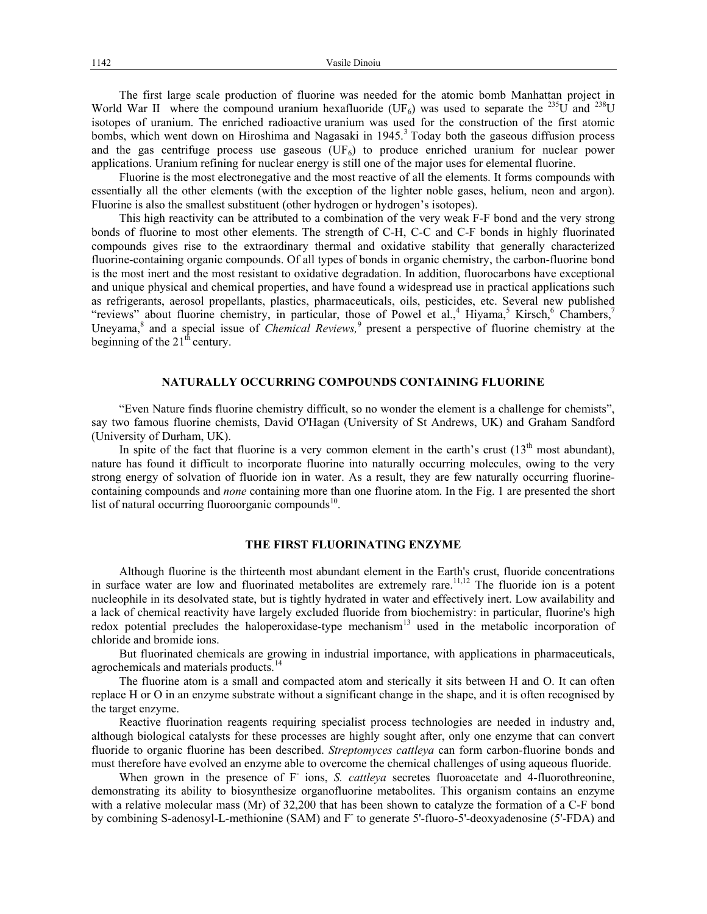The first large scale production of fluorine was needed for the atomic bomb Manhattan project in World War II where the compound uranium hexafluoride (UF<sub>6</sub>) was used to separate the <sup>235</sup>U and <sup>238</sup>U isotopes of uranium. The enriched radioactive uranium was used for the construction of the first atomic bombs, which went down on Hiroshima and Nagasaki in  $1945$ .<sup>3</sup> Today both the gaseous diffusion process and the gas centrifuge process use gaseous  $(UF_6)$  to produce enriched uranium for nuclear power applications. Uranium refining for nuclear energy is still one of the major uses for elemental fluorine.

Fluorine is the most electronegative and the most reactive of all the elements. It forms compounds with essentially all the other elements (with the exception of the lighter noble gases, helium, neon and argon). Fluorine is also the smallest substituent (other hydrogen or hydrogen's isotopes).

This high reactivity can be attributed to a combination of the very weak F-F bond and the very strong bonds of fluorine to most other elements. The strength of C-H, C-C and C-F bonds in highly fluorinated compounds gives rise to the extraordinary thermal and oxidative stability that generally characterized fluorine-containing organic compounds. Of all types of bonds in organic chemistry, the carbon-fluorine bond is the most inert and the most resistant to oxidative degradation. In addition, fluorocarbons have exceptional and unique physical and chemical properties, and have found a widespread use in practical applications such as refrigerants, aerosol propellants, plastics, pharmaceuticals, oils, pesticides, etc. Several new published "reviews" about fluorine chemistry, in particular, those of Powel et al.,<sup>4</sup> Hiyama,<sup>5</sup> Kirsch,<sup>6</sup> Chambers,<sup>7</sup> Uneyama,<sup>8</sup> and a special issue of *Chemical Reviews*,<sup>9</sup> present a perspective of fluorine chemistry at the beginning of the  $21<sup>th</sup>$  century.

### **NATURALLY OCCURRING COMPOUNDS CONTAINING FLUORINE**

"Even Nature finds fluorine chemistry difficult, so no wonder the element is a challenge for chemists", say two famous fluorine chemists, David O'Hagan (University of St Andrews, UK) and Graham Sandford (University of Durham, UK).

In spite of the fact that fluorine is a very common element in the earth's crust  $(13<sup>th</sup>$  most abundant), nature has found it difficult to incorporate fluorine into naturally occurring molecules, owing to the very strong energy of solvation of fluoride ion in water. As a result, they are few naturally occurring fluorinecontaining compounds and *none* containing more than one fluorine atom. In the Fig. 1 are presented the short list of natural occurring fluoroorganic compounds<sup>10</sup>.

### **THE FIRST FLUORINATING ENZYME**

Although fluorine is the thirteenth most abundant element in the Earth's crust, fluoride concentrations in surface water are low and fluorinated metabolites are extremely rare.<sup>11,12</sup> The fluoride ion is a potent nucleophile in its desolvated state, but is tightly hydrated in water and effectively inert. Low availability and a lack of chemical reactivity have largely excluded fluoride from biochemistry: in particular, fluorine's high redox potential precludes the haloperoxidase-type mechanism<sup>13</sup> used in the metabolic incorporation of chloride and bromide ions.

But fluorinated chemicals are growing in industrial importance, with applications in pharmaceuticals, agrochemicals and materials products.<sup>14</sup>

The fluorine atom is a small and compacted atom and sterically it sits between H and O. It can often replace H or O in an enzyme substrate without a significant change in the shape, and it is often recognised by the target enzyme.

Reactive fluorination reagents requiring specialist process technologies are needed in industry and, although biological catalysts for these processes are highly sought after, only one enzyme that can convert fluoride to organic fluorine has been described. *Streptomyces cattleya* can form carbon-fluorine bonds and must therefore have evolved an enzyme able to overcome the chemical challenges of using aqueous fluoride.

When grown in the presence of F<sup>-</sup> ions, *S. cattleya* secretes fluoroacetate and 4-fluorothreonine, demonstrating its ability to biosynthesize organofluorine metabolites. This organism contains an enzyme with a relative molecular mass (Mr) of 32,200 that has been shown to catalyze the formation of a C-F bond by combining S-adenosyl-L-methionine (SAM) and F<sup>-</sup> to generate 5'-fluoro-5'-deoxyadenosine (5'-FDA) and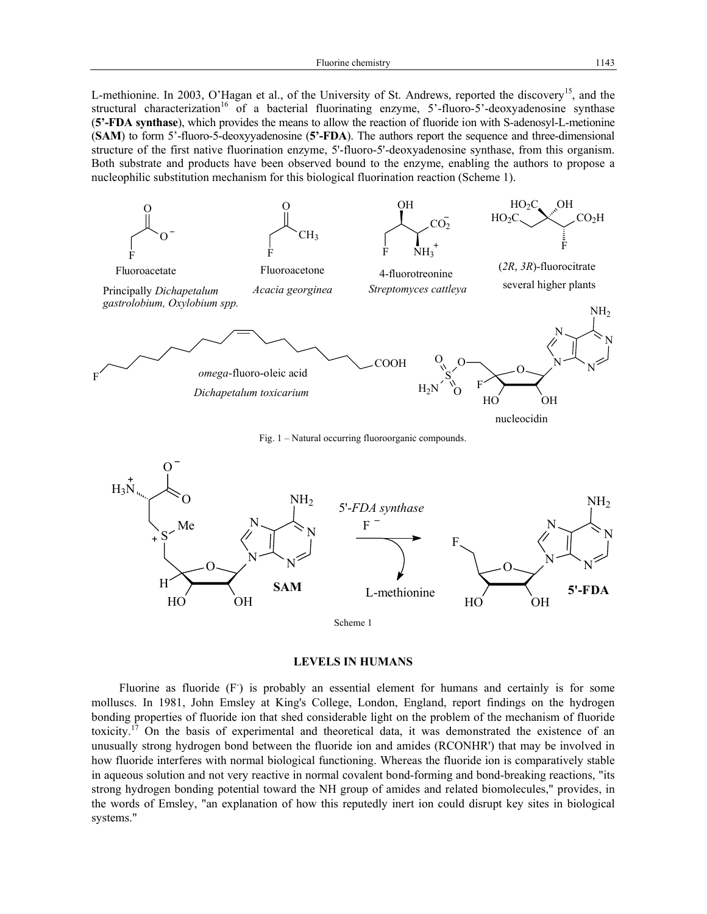L-methionine. In 2003, O'Hagan et al., of the University of St. Andrews, reported the discovery<sup>15</sup>, and the structural characterization<sup>16</sup> of a bacterial fluorinating enzyme,  $5'$ -fluoro- $5'$ -deoxyadenosine synthase (**5'-FDA synthase**), which provides the means to allow the reaction of fluoride ion with S-adenosyl-L-metionine (**SAM**) to form 5'-fluoro-5-deoxyyadenosine (**5'-FDA**). The authors report the sequence and three-dimensional structure of the first native fluorination enzyme, 5'-fluoro-5'-deoxyadenosine synthase, from this organism. Both substrate and products have been observed bound to the enzyme, enabling the authors to propose a nucleophilic substitution mechanism for this biological fluorination reaction (Scheme 1).



Scheme 1

#### **LEVELS IN HUMANS**

Fluorine as fluoride (F) is probably an essential element for humans and certainly is for some molluscs. In 1981, John Emsley at King's College, London, England, report findings on the hydrogen bonding properties of fluoride ion that shed considerable light on the problem of the mechanism of fluoride toxicity.17 On the basis of experimental and theoretical data, it was demonstrated the existence of an unusually strong hydrogen bond between the fluoride ion and amides (RCONHR') that may be involved in how fluoride interferes with normal biological functioning. Whereas the fluoride ion is comparatively stable in aqueous solution and not very reactive in normal covalent bond-forming and bond-breaking reactions, "its strong hydrogen bonding potential toward the NH group of amides and related biomolecules," provides, in the words of Emsley, "an explanation of how this reputedly inert ion could disrupt key sites in biological systems."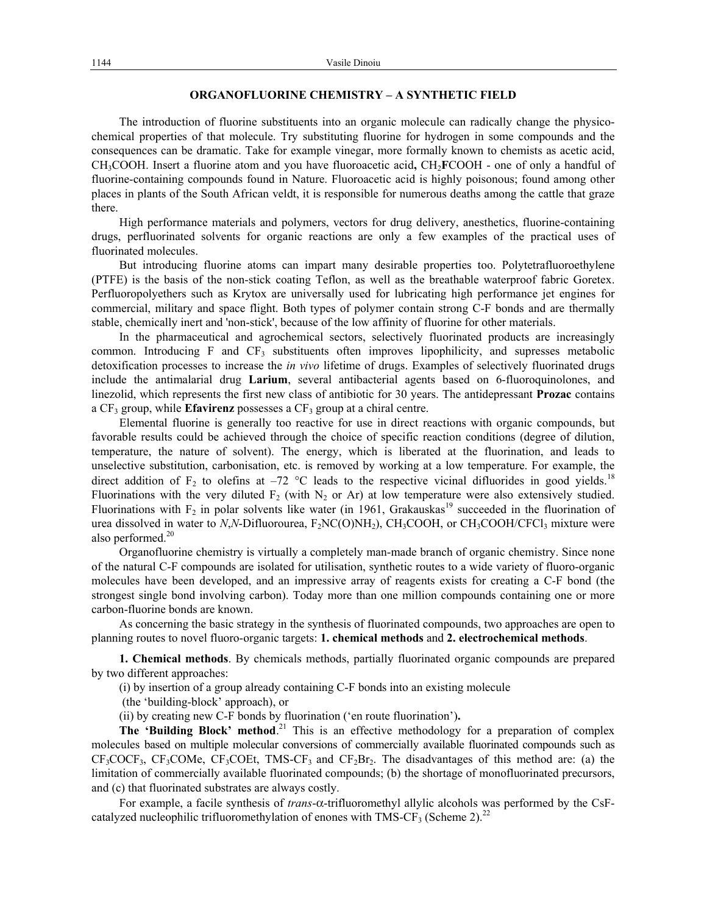## **ORGANOFLUORINE CHEMISTRY – A SYNTHETIC FIELD**

The introduction of fluorine substituents into an organic molecule can radically change the physicochemical properties of that molecule. Try substituting fluorine for hydrogen in some compounds and the consequences can be dramatic. Take for example vinegar, more formally known to chemists as acetic acid, CH3COOH. Insert a fluorine atom and you have fluoroacetic acid**,** CH2**F**COOH - one of only a handful of fluorine-containing compounds found in Nature. Fluoroacetic acid is highly poisonous; found among other places in plants of the South African veldt, it is responsible for numerous deaths among the cattle that graze there.

High performance materials and polymers, vectors for drug delivery, anesthetics, fluorine-containing drugs, perfluorinated solvents for organic reactions are only a few examples of the practical uses of fluorinated molecules.

But introducing fluorine atoms can impart many desirable properties too. Polytetrafluoroethylene (PTFE) is the basis of the non-stick coating Teflon, as well as the breathable waterproof fabric Goretex. Perfluoropolyethers such as Krytox are universally used for lubricating high performance jet engines for commercial, military and space flight. Both types of polymer contain strong C-F bonds and are thermally stable, chemically inert and 'non-stick', because of the low affinity of fluorine for other materials.

In the pharmaceutical and agrochemical sectors, selectively fluorinated products are increasingly common. Introducing  $F$  and  $CF_3$  substituents often improves lipophilicity, and supresses metabolic detoxification processes to increase the *in vivo* lifetime of drugs. Examples of selectively fluorinated drugs include the antimalarial drug **Larium**, several antibacterial agents based on 6-fluoroquinolones, and linezolid, which represents the first new class of antibiotic for 30 years. The antidepressant **Prozac** contains a CF<sub>3</sub> group, while **Efavirenz** possesses a CF<sub>3</sub> group at a chiral centre.

Elemental fluorine is generally too reactive for use in direct reactions with organic compounds, but favorable results could be achieved through the choice of specific reaction conditions (degree of dilution, temperature, the nature of solvent). The energy, which is liberated at the fluorination, and leads to unselective substitution, carbonisation, etc. is removed by working at a low temperature. For example, the direct addition of  $F_2$  to olefins at  $-72$  °C leads to the respective vicinal difluorides in good yields.<sup>18</sup> Fluorinations with the very diluted  $F_2$  (with  $N_2$  or Ar) at low temperature were also extensively studied. Fluorinations with  $F_2$  in polar solvents like water (in 1961, Grakauskas<sup>19</sup> succeeded in the fluorination of urea dissolved in water to *N*,*N*-Difluorourea,  $F_2NC(O)NH_2$ ), CH<sub>3</sub>COOH, or CH<sub>3</sub>COOH/CFCl<sub>3</sub> mixture were also performed.<sup>20</sup>

Organofluorine chemistry is virtually a completely man-made branch of organic chemistry. Since none of the natural C-F compounds are isolated for utilisation, synthetic routes to a wide variety of fluoro-organic molecules have been developed, and an impressive array of reagents exists for creating a C-F bond (the strongest single bond involving carbon). Today more than one million compounds containing one or more carbon-fluorine bonds are known.

As concerning the basic strategy in the synthesis of fluorinated compounds, two approaches are open to planning routes to novel fluoro-organic targets: **1. chemical methods** and **2. electrochemical methods**.

**1. Chemical methods**. By chemicals methods, partially fluorinated organic compounds are prepared by two different approaches:

(i) by insertion of a group already containing C-F bonds into an existing molecule

(the 'building-block' approach), or

(ii) by creating new C-F bonds by fluorination ('en route fluorination')**.** 

The 'Building Block' method.<sup>21</sup> This is an effective methodology for a preparation of complex molecules based on multiple molecular conversions of commercially available fluorinated compounds such as  $CF_3COCF_3$ ,  $CF_3COMe$ ,  $CF_3COEt$ ,  $TMS-CF_3$  and  $CF_2Br_2$ . The disadvantages of this method are: (a) the limitation of commercially available fluorinated compounds; (b) the shortage of monofluorinated precursors, and (c) that fluorinated substrates are always costly.

For example, a facile synthesis of *trans*-α-trifluoromethyl allylic alcohols was performed by the CsFcatalyzed nucleophilic trifluoromethylation of enones with TMS-CF<sub>3</sub> (Scheme 2).<sup>22</sup>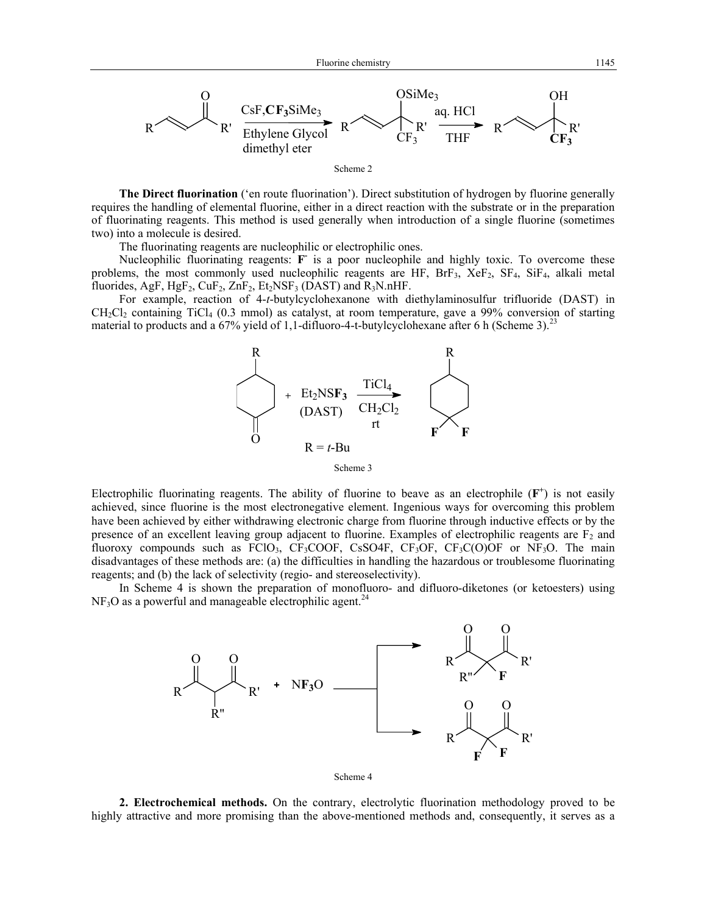

**The Direct fluorination** ('en route fluorination'). Direct substitution of hydrogen by fluorine generally requires the handling of elemental fluorine, either in a direct reaction with the substrate or in the preparation of fluorinating reagents. This method is used generally when introduction of a single fluorine (sometimes two) into a molecule is desired.

The fluorinating reagents are nucleophilic or electrophilic ones.

Nucleophilic fluorinating reagents: **F** is a poor nucleophile and highly toxic. To overcome these problems, the most commonly used nucleophilic reagents are  $HF$ ,  $BrF_3$ ,  $XeF_2$ ,  $SF_4$ ,  $SiF_4$ , alkali metal fluorides, AgF, HgF<sub>2</sub>, CuF<sub>2</sub>, ZnF<sub>2</sub>, Et<sub>2</sub>NSF<sub>3</sub> (DAST) and R<sub>3</sub>N.nHF.

For example, reaction of 4-*t*-butylcyclohexanone with diethylaminosulfur trifluoride (DAST) in  $CH_2Cl_2$  containing TiCl<sub>4</sub> (0.3 mmol) as catalyst, at room temperature, gave a 99% conversion of starting material to products and a 67% yield of 1,1-difluoro-4-t-butylcyclohexane after 6 h (Scheme 3).<sup>23</sup>



Electrophilic fluorinating reagents. The ability of fluorine to beave as an electrophile  $(F^+)$  is not easily achieved, since fluorine is the most electronegative element. Ingenious ways for overcoming this problem have been achieved by either withdrawing electronic charge from fluorine through inductive effects or by the presence of an excellent leaving group adjacent to fluorine. Examples of electrophilic reagents are  $F_2$  and fluoroxy compounds such as  $FCIO_3$ ,  $CF_3COOF$ ,  $CSO4F$ ,  $CF_3OF$ ,  $CF_3C(O)OF$  or  $NF_3O$ . The main disadvantages of these methods are: (a) the difficulties in handling the hazardous or troublesome fluorinating reagents; and (b) the lack of selectivity (regio- and stereoselectivity).

In Scheme 4 is shown the preparation of monofluoro- and difluoro-diketones (or ketoesters) using  $NF<sub>3</sub>O$  as a powerful and manageable electrophilic agent.<sup>24</sup>



Scheme 4

**2. Electrochemical methods.** On the contrary, electrolytic fluorination methodology proved to be highly attractive and more promising than the above-mentioned methods and, consequently, it serves as a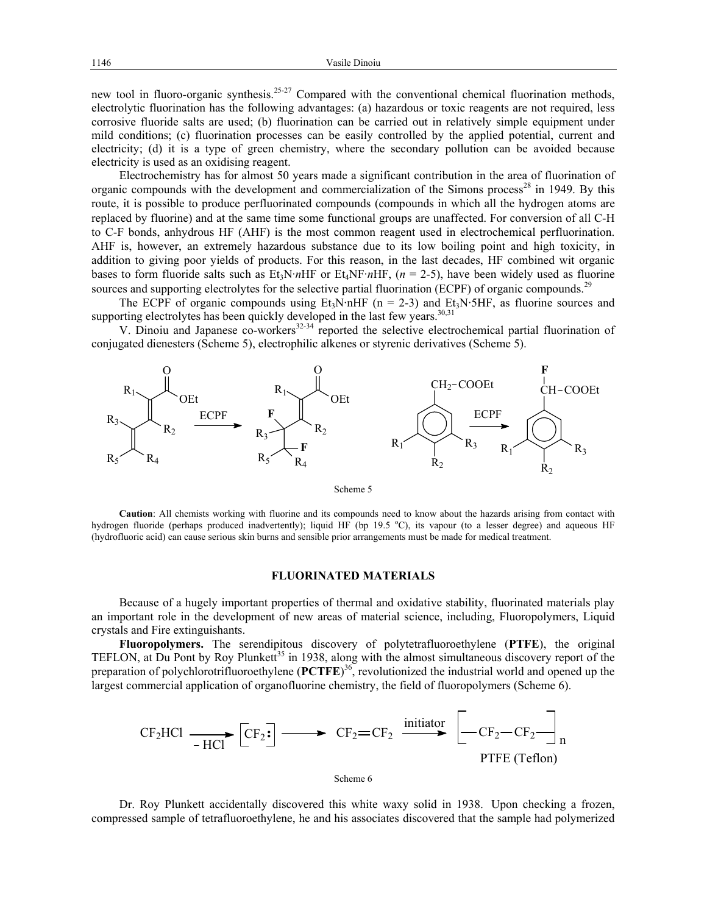new tool in fluoro-organic synthesis.<sup>25-27</sup> Compared with the conventional chemical fluorination methods, electrolytic fluorination has the following advantages: (a) hazardous or toxic reagents are not required, less corrosive fluoride salts are used; (b) fluorination can be carried out in relatively simple equipment under mild conditions; (c) fluorination processes can be easily controlled by the applied potential, current and electricity; (d) it is a type of green chemistry, where the secondary pollution can be avoided because electricity is used as an oxidising reagent.

Electrochemistry has for almost 50 years made a significant contribution in the area of fluorination of organic compounds with the development and commercialization of the Simons process<sup>28</sup> in 1949. By this route, it is possible to produce perfluorinated compounds (compounds in which all the hydrogen atoms are replaced by fluorine) and at the same time some functional groups are unaffected. For conversion of all C-H to C-F bonds, anhydrous HF (AHF) is the most common reagent used in electrochemical perfluorination. AHF is, however, an extremely hazardous substance due to its low boiling point and high toxicity, in addition to giving poor yields of products. For this reason, in the last decades, HF combined wit organic bases to form fluoride salts such as Et<sub>3</sub>N·*n*HF or Et<sub>4</sub>NF·*n*HF, (*n* = 2-5), have been widely used as fluorine sources and supporting electrolytes for the selective partial fluorination (ECPF) of organic compounds.<sup>29</sup>

The ECPF of organic compounds using Et<sub>3</sub>N·nHF ( $n = 2-3$ ) and Et<sub>3</sub>N·5HF, as fluorine sources and supporting electrolytes has been quickly developed in the last few years.<sup>30,31</sup>

V. Dinoiu and Japanese co-workers<sup>32-34</sup> reported the selective electrochemical partial fluorination of conjugated dienesters (Scheme 5), electrophilic alkenes or styrenic derivatives (Scheme 5).



**Caution**: All chemists working with fluorine and its compounds need to know about the hazards arising from contact with hydrogen fluoride (perhaps produced inadvertently); liquid HF (bp 19.5 °C), its vapour (to a lesser degree) and aqueous HF (hydrofluoric acid) can cause serious skin burns and sensible prior arrangements must be made for medical treatment.

### **FLUORINATED MATERIALS**

Because of a hugely important properties of thermal and oxidative stability, fluorinated materials play an important role in the development of new areas of material science, including, Fluoropolymers, Liquid crystals and Fire extinguishants.

**Fluoropolymers.** The serendipitous discovery of polytetrafluoroethylene (**PTFE**), the original TEFLON, at Du Pont by Roy Plunkett<sup>35</sup> in 1938, along with the almost simultaneous discovery report of the preparation of polychlorotrifluoroethylene (**PCTFE**) 36, revolutionized the industrial world and opened up the largest commercial application of organofluorine chemistry, the field of fluoropolymers (Scheme 6).



Dr. Roy Plunkett accidentally discovered this white waxy solid in 1938. Upon checking a frozen, compressed sample of tetrafluoroethylene, he and his associates discovered that the sample had polymerized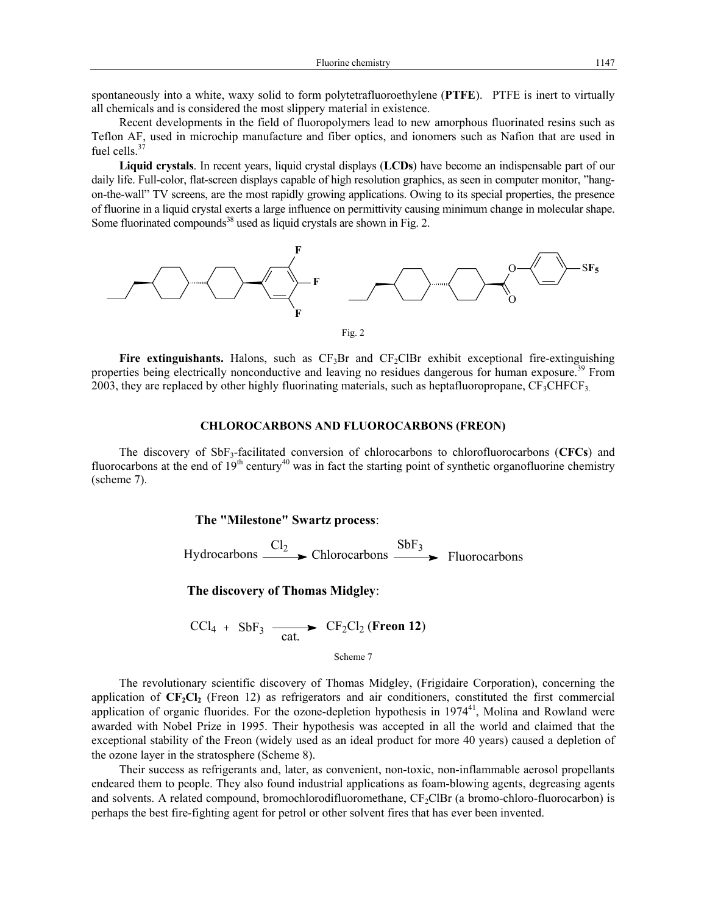spontaneously into a white, waxy solid to form polytetrafluoroethylene (**PTFE**). PTFE is inert to virtually all chemicals and is considered the most slippery material in existence.

Recent developments in the field of fluoropolymers lead to new amorphous fluorinated resins such as Teflon AF, used in microchip manufacture and fiber optics, and ionomers such as Nafion that are used in fuel cells. $37$ 

**Liquid crystals**. In recent years, liquid crystal displays (**LCDs**) have become an indispensable part of our daily life. Full-color, flat-screen displays capable of high resolution graphics, as seen in computer monitor, "hangon-the-wall" TV screens, are the most rapidly growing applications. Owing to its special properties, the presence of fluorine in a liquid crystal exerts a large influence on permittivity causing minimum change in molecular shape. Some fluorinated compounds<sup>38</sup> used as liquid crystals are shown in Fig. 2.



Fig. 2

Fire extinguishants. Halons, such as  $CF_3Br$  and  $CF_2ClBr$  exhibit exceptional fire-extinguishing properties being electrically nonconductive and leaving no residues dangerous for human exposure.39 From 2003, they are replaced by other highly fluorinating materials, such as heptafluoropropane,  $CF_3CHFCF_3$ .

# **CHLOROCARBONS AND FLUOROCARBONS (FREON)**

The discovery of SbF3-facilitated conversion of chlorocarbons to chlorofluorocarbons (**CFCs**) and fluorocarbons at the end of  $19<sup>th</sup>$  century<sup>40</sup> was in fact the starting point of synthetic organofluorine chemistry (scheme 7).

**The "Milestone" Swartz process**:

Hydrocarbons  $\xrightarrow{C_1}$  Chlorocarbons  $\xrightarrow{C_1}$  Fluorocarbons  $Cl<sub>2</sub>$  SbF<sub>3</sub>

**The discovery of Thomas Midgley**:

 $\text{CCl}_4 + \text{SbF}_3 \xrightarrow{\text{cat.}} \text{CF}_2\text{Cl}_2 \text{ (From 12)}$ Scheme 7

The revolutionary scientific discovery of Thomas Midgley, (Frigidaire Corporation), concerning the application of CF<sub>2</sub>Cl<sub>2</sub> (Freon 12) as refrigerators and air conditioners, constituted the first commercial application of organic fluorides. For the ozone-depletion hypothesis in  $1974<sup>41</sup>$ , Molina and Rowland were awarded with Nobel Prize in 1995. Their hypothesis was accepted in all the world and claimed that the exceptional stability of the Freon (widely used as an ideal product for more 40 years) caused a depletion of the ozone layer in the stratosphere (Scheme 8).

Their success as refrigerants and, later, as convenient, non-toxic, non-inflammable aerosol propellants endeared them to people. They also found industrial applications as foam-blowing agents, degreasing agents and solvents. A related compound, bromochlorodifluoromethane, CF<sub>2</sub>ClBr (a bromo-chloro-fluorocarbon) is perhaps the best fire-fighting agent for petrol or other solvent fires that has ever been invented.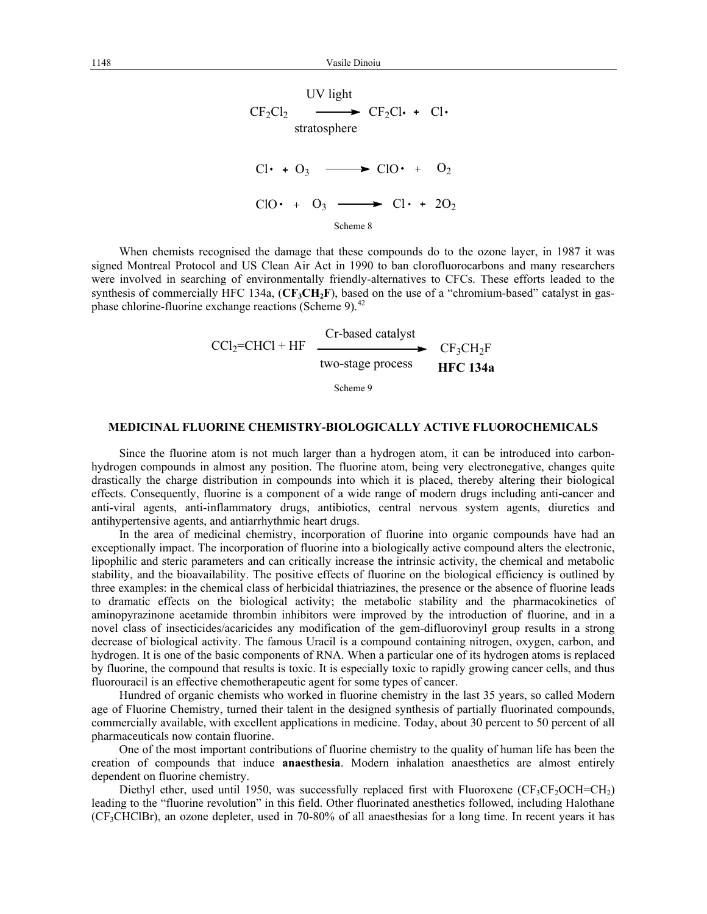

When chemists recognised the damage that these compounds do to the ozone layer, in 1987 it was signed Montreal Protocol and US Clean Air Act in 1990 to ban clorofluorocarbons and many researchers were involved in searching of environmentally friendly-alternatives to CFCs. These efforts leaded to the synthesis of commercially HFC 134a,  $(\mathbf{CF}_3\mathbf{CH}_2\mathbf{F})$ , based on the use of a "chromium-based" catalyst in gasphase chlorine-fluorine exchange reactions (Scheme 9). $42$ 

| $CC12=CHCl + HF$ | Cr-based catalyst                 |                 |
|------------------|-----------------------------------|-----------------|
|                  | CF <sub>3</sub> CH <sub>2</sub> F |                 |
|                  | two-stage process                 | <b>HFC</b> 134a |
|                  | Scheme 9                          |                 |

### **MEDICINAL FLUORINE CHEMISTRY-BIOLOGICALLY ACTIVE FLUOROCHEMICALS**

Since the fluorine atom is not much larger than a hydrogen atom, it can be introduced into carbonhydrogen compounds in almost any position. The fluorine atom, being very electronegative, changes quite drastically the charge distribution in compounds into which it is placed, thereby altering their biological effects. Consequently, fluorine is a component of a wide range of modern drugs including anti-cancer and anti-viral agents, anti-inflammatory drugs, antibiotics, central nervous system agents, diuretics and antihypertensive agents, and antiarrhythmic heart drugs.

In the area of medicinal chemistry, incorporation of fluorine into organic compounds have had an exceptionally impact. The incorporation of fluorine into a biologically active compound alters the electronic, lipophilic and steric parameters and can critically increase the intrinsic activity, the chemical and metabolic stability, and the bioavailability. The positive effects of fluorine on the biological efficiency is outlined by three examples: in the chemical class of herbicidal thiatriazines, the presence or the absence of fluorine leads to dramatic effects on the biological activity; the metabolic stability and the pharmacokinetics of aminopyrazinone acetamide thrombin inhibitors were improved by the introduction of fluorine, and in a novel class of insecticides/acaricides any modification of the gem-difluorovinyl group results in a strong decrease of biological activity. The famous Uracil is a compound containing nitrogen, oxygen, carbon, and hydrogen. It is one of the basic components of RNA. When a particular one of its hydrogen atoms is replaced by fluorine, the compound that results is toxic. It is especially toxic to rapidly growing cancer cells, and thus fluorouracil is an effective chemotherapeutic agent for some types of cancer.

Hundred of organic chemists who worked in fluorine chemistry in the last 35 years, so called Modern age of Fluorine Chemistry, turned their talent in the designed synthesis of partially fluorinated compounds, commercially available, with excellent applications in medicine. Today, about 30 percent to 50 percent of all pharmaceuticals now contain fluorine.

One of the most important contributions of fluorine chemistry to the quality of human life has been the creation of compounds that induce **anaesthesia**. Modern inhalation anaesthetics are almost entirely dependent on fluorine chemistry.

Diethyl ether, used until 1950, was successfully replaced first with Fluoroxene ( $CF_3CF_2OCH=CH_2$ ) leading to the "fluorine revolution" in this field. Other fluorinated anesthetics followed, including Halothane (CF3CHClBr), an ozone depleter, used in 70-80% of all anaesthesias for a long time. In recent years it has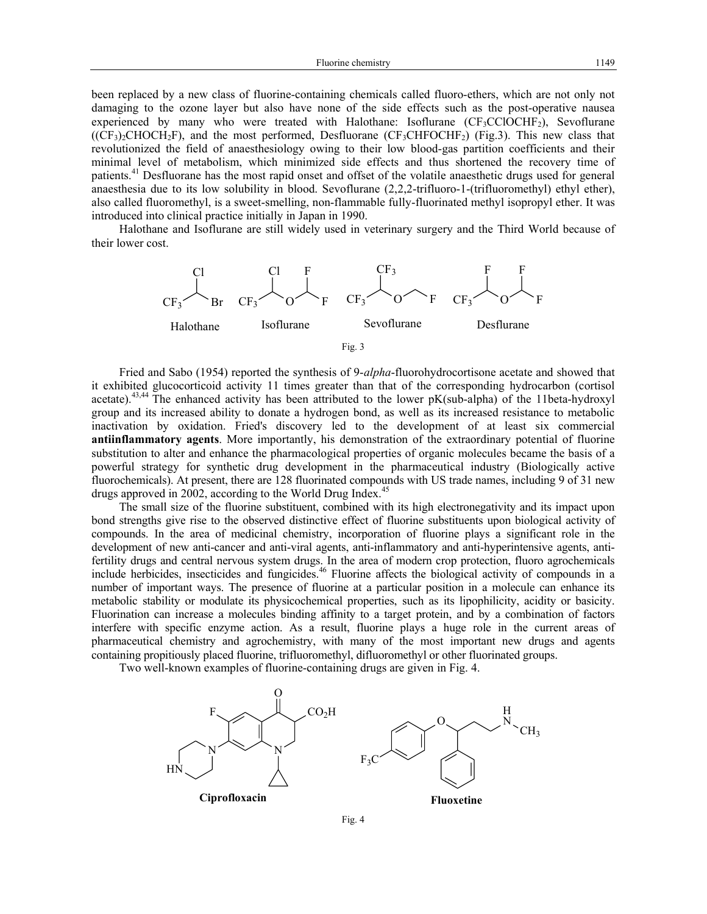been replaced by a new class of fluorine-containing chemicals called fluoro-ethers, which are not only not damaging to the ozone layer but also have none of the side effects such as the post-operative nausea experienced by many who were treated with Halothane: Isoflurane  $(CF_3CCIOCHF_2)$ , Sevoflurane  $((CF<sub>3</sub>)<sub>2</sub>CHOCH<sub>2</sub>F)$ , and the most performed, Desfluorane  $(CF<sub>3</sub>CHFOCHF<sub>2</sub>)$  (Fig.3). This new class that revolutionized the field of anaesthesiology owing to their low blood-gas partition coefficients and their minimal level of metabolism, which minimized side effects and thus shortened the recovery time of patients.<sup>41</sup> Desfluorane has the most rapid onset and offset of the volatile anaesthetic drugs used for general anaesthesia due to its low solubility in blood. Sevoflurane  $(2,2,2$ -trifluoro-1-(trifluoromethyl) ethyl ether), also called fluoromethyl, is a sweet-smelling, non-flammable fully-fluorinated methyl isopropyl ether. It was introduced into clinical practice initially in Japan in 1990.

Halothane and Isoflurane are still widely used in veterinary surgery and the Third World because of their lower cost.



Fried and Sabo (1954) reported the synthesis of 9-*alpha*-fluorohydrocortisone acetate and showed that it exhibited glucocorticoid activity 11 times greater than that of the corresponding hydrocarbon (cortisol acetate).<sup>43,44</sup> The enhanced activity has been attributed to the lower pK(sub-alpha) of the 11beta-hydroxyl group and its increased ability to donate a hydrogen bond, as well as its increased resistance to metabolic inactivation by oxidation. Fried's discovery led to the development of at least six commercial **antiinflammatory agents**. More importantly, his demonstration of the extraordinary potential of fluorine substitution to alter and enhance the pharmacological properties of organic molecules became the basis of a powerful strategy for synthetic drug development in the pharmaceutical industry (Biologically active fluorochemicals). At present, there are 128 fluorinated compounds with US trade names, including 9 of 31 new drugs approved in 2002, according to the World Drug Index.<sup>45</sup>

The small size of the fluorine substituent, combined with its high electronegativity and its impact upon bond strengths give rise to the observed distinctive effect of fluorine substituents upon biological activity of compounds. In the area of medicinal chemistry, incorporation of fluorine plays a significant role in the development of new anti-cancer and anti-viral agents, anti-inflammatory and anti-hyperintensive agents, antifertility drugs and central nervous system drugs. In the area of modern crop protection, fluoro agrochemicals include herbicides, insecticides and fungicides.<sup>46</sup> Fluorine affects the biological activity of compounds in a number of important ways. The presence of fluorine at a particular position in a molecule can enhance its metabolic stability or modulate its physicochemical properties, such as its lipophilicity, acidity or basicity. Fluorination can increase a molecules binding affinity to a target protein, and by a combination of factors interfere with specific enzyme action. As a result, fluorine plays a huge role in the current areas of pharmaceutical chemistry and agrochemistry, with many of the most important new drugs and agents containing propitiously placed fluorine, trifluoromethyl, difluoromethyl or other fluorinated groups.

Two well-known examples of fluorine-containing drugs are given in Fig. 4.



Fig. 4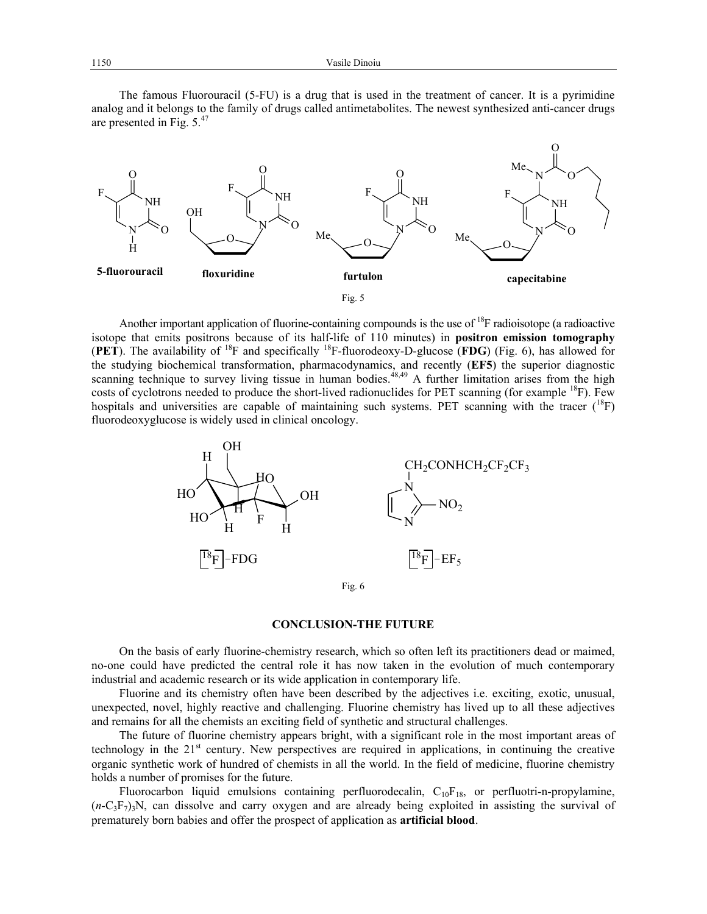The famous Fluorouracil (5-FU) is a drug that is used in the treatment of cancer. It is a pyrimidine analog and it belongs to the family of drugs called antimetabolites. The newest synthesized anti-cancer drugs are presented in Fig.  $5<sup>47</sup>$ 



Another important application of fluorine-containing compounds is the use of <sup>18</sup>F radioisotope (a radioactive isotope that emits positrons because of its half-life of 110 minutes) in **positron emission tomography** (**PET**). The availability of 18F and specifically 18F-fluorodeoxy-D-glucose (**FDG**) (Fig. 6), has allowed for the studying biochemical transformation, pharmacodynamics, and recently (**EF5**) the superior diagnostic scanning technique to survey living tissue in human bodies.<sup>48,49</sup> A further limitation arises from the high costs of cyclotrons needed to produce the short-lived radionuclides for PET scanning (for example  $^{18}$ F). Few hospitals and universities are capable of maintaining such systems. PET scanning with the tracer  $(^{18}F)$ fluorodeoxyglucose is widely used in clinical oncology.



# **CONCLUSION-THE FUTURE**

On the basis of early fluorine-chemistry research, which so often left its practitioners dead or maimed, no-one could have predicted the central role it has now taken in the evolution of much contemporary industrial and academic research or its wide application in contemporary life.

Fluorine and its chemistry often have been described by the adjectives i.e. exciting, exotic, unusual, unexpected, novel, highly reactive and challenging. Fluorine chemistry has lived up to all these adjectives and remains for all the chemists an exciting field of synthetic and structural challenges.

The future of fluorine chemistry appears bright, with a significant role in the most important areas of technology in the  $21<sup>st</sup>$  century. New perspectives are required in applications, in continuing the creative organic synthetic work of hundred of chemists in all the world. In the field of medicine, fluorine chemistry holds a number of promises for the future.

Fluorocarbon liquid emulsions containing perfluorodecalin,  $C_{10}F_{18}$ , or perfluotri-n-propylamine,  $(n-C_3F_7)$ <sub>S</sub>N, can dissolve and carry oxygen and are already being exploited in assisting the survival of prematurely born babies and offer the prospect of application as **artificial blood**.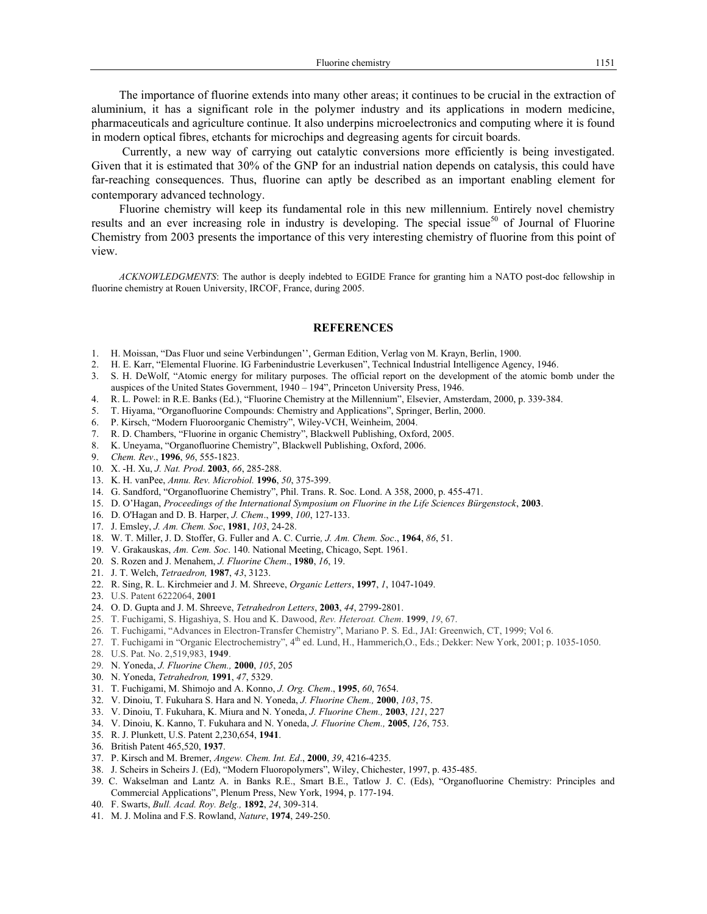The importance of fluorine extends into many other areas; it continues to be crucial in the extraction of aluminium, it has a significant role in the polymer industry and its applications in modern medicine, pharmaceuticals and agriculture continue. It also underpins microelectronics and computing where it is found in modern optical fibres, etchants for microchips and degreasing agents for circuit boards.

 Currently, a new way of carrying out catalytic conversions more efficiently is being investigated. Given that it is estimated that 30% of the GNP for an industrial nation depends on catalysis, this could have far-reaching consequences. Thus, fluorine can aptly be described as an important enabling element for contemporary advanced technology.

Fluorine chemistry will keep its fundamental role in this new millennium. Entirely novel chemistry results and an ever increasing role in industry is developing. The special issue<sup>50</sup> of Journal of Fluorine Chemistry from 2003 presents the importance of this very interesting chemistry of fluorine from this point of view.

*ACKNOWLEDGMENTS*: The author is deeply indebted to EGIDE France for granting him a NATO post-doc fellowship in fluorine chemistry at Rouen University, IRCOF, France, during 2005.

### **REFERENCES**

- 1. H. Moissan, "Das Fluor und seine Verbindungen'', German Edition, Verlag von M. Krayn, Berlin, 1900.
- 2. H. E. Karr, "Elemental Fluorine. IG Farbenindustrie Leverkusen", Technical Industrial Intelligence Agency, 1946.
- 3. S. H. DeWolf, "Atomic energy for military purposes. The official report on the development of the atomic bomb under the auspices of the United States Government, 1940 – 194", Princeton University Press, 1946.
- 4. R. L. Powel: in R.E. Banks (Ed.), "Fluorine Chemistry at the Millennium", Elsevier, Amsterdam, 2000, p. 339-384.
- 5. T. Hiyama, "Organofluorine Compounds: Chemistry and Applications", Springer, Berlin, 2000.
- 6. P. Kirsch, "Modern Fluoroorganic Chemistry", Wiley-VCH, Weinheim, 2004.
- 7. R. D. Chambers, "Fluorine in organic Chemistry", Blackwell Publishing, Oxford, 2005.
- 8. K. Uneyama, "Organofluorine Chemistry", Blackwell Publishing, Oxford, 2006.
- 9. *Chem. Rev*., **1996**, *96*, 555-1823.
- 10. X. -H. Xu, *J. Nat. Prod*. **2003**, *66*, 285-288.
- 13. K. H. vanPee, *Annu. Rev. Microbiol.* **1996**, *50*, 375-399.
- 14. G. Sandford, "Organofluorine Chemistry", Phil. Trans. R. Soc. Lond. A 358, 2000, p. 455-471.
- 15. D. O'Hagan, *Proceedings of the International Symposium on Fluorine in the Life Sciences Bürgenstock*, **2003**.
- 16. D. O'Hagan and D. B. Harper, *J. Chem*., **1999**, *100*, 127-133.
- 17. J. Emsley, *J. Am. Chem. Soc*, **1981**, *103*, 24-28.
- 18. W. T. Miller, J. D. Stoffer, G. Fuller and A. C. Currie*, J. Am. Chem. Soc*., **1964**, *86*, 51.
- 19. V. Grakauskas, *Am. Cem. Soc*. 140. National Meeting, Chicago, Sept. 1961.
- 20. S. Rozen and J. Menahem, *J. Fluorine Chem*., **1980**, *16*, 19.
- 21. J. T. Welch, *Tetraedron,* **1987**, *43*, 3123.
- 22. R. Sing, R. L. Kirchmeier and J. M. Shreeve, *Organic Letters*, **1997**, *1*, 1047-1049.
- 23. U.S. Patent 6222064, **2001**
- 24. O. D. Gupta and J. M. Shreeve, *Tetrahedron Letters*, **2003**, *44*, 2799-2801.
- 25. T. Fuchigami, S. Higashiya, S. Hou and K. Dawood, *Rev. Heteroat. Chem*. **1999**, *19*, 67.
- 26. T. Fuchigami, "Advances in Electron-Transfer Chemistry", Mariano P. S. Ed., JAI: Greenwich, CT, 1999; Vol 6.
- 27. T. Fuchigami in "Organic Electrochemistry", 4<sup>th</sup> ed. Lund, H., Hammerich, O., Eds.; Dekker: New York, 2001; p. 1035-1050.
- 28. U.S. Pat. No. 2,519,983, **1949**.
- 29. N. Yoneda, *J. Fluorine Chem.,* **2000**, *105*, 205
- 30. N. Yoneda, *Tetrahedron,* **1991**, *47*, 5329.
- 31. T. Fuchigami, M. Shimojo and A. Konno, *J. Org. Chem*., **1995**, *60*, 7654.
- 32. V. Dinoiu, T. Fukuhara S. Hara and N. Yoneda, *J. Fluorine Chem.,* **2000**, *103*, 75.
- 33. V. Dinoiu, T. Fukuhara, K. Miura and N. Yoneda, *J. Fluorine Chem.,* **2003**, *121*, 227
- 34. V. Dinoiu, K. Kanno, T. Fukuhara and N. Yoneda, *J. Fluorine Chem.,* **2005**, *126*, 753.
- 35. R. J. Plunkett, U.S. Patent 2,230,654, **1941**.
- 36. British Patent 465,520, **1937**.
- 37. P. Kirsch and M. Bremer, *Angew. Chem. Int. Ed*., **2000**, *39*, 4216-4235.
- 38. J. Scheirs in Scheirs J. (Ed), "Modern Fluoropolymers", Wiley, Chichester, 1997, p. 435-485.
- 39. C. Wakselman and Lantz A. in Banks R.E., Smart B.E., Tatlow J. C. (Eds), "Organofluorine Chemistry: Principles and Commercial Applications", Plenum Press, New York, 1994, p. 177-194.
- 40. F. Swarts, *Bull. Acad. Roy. Belg.,* **1892**, *24*, 309-314.
- 41. M. J. Molina and F.S. Rowland, *Nature*, **1974**, 249-250.